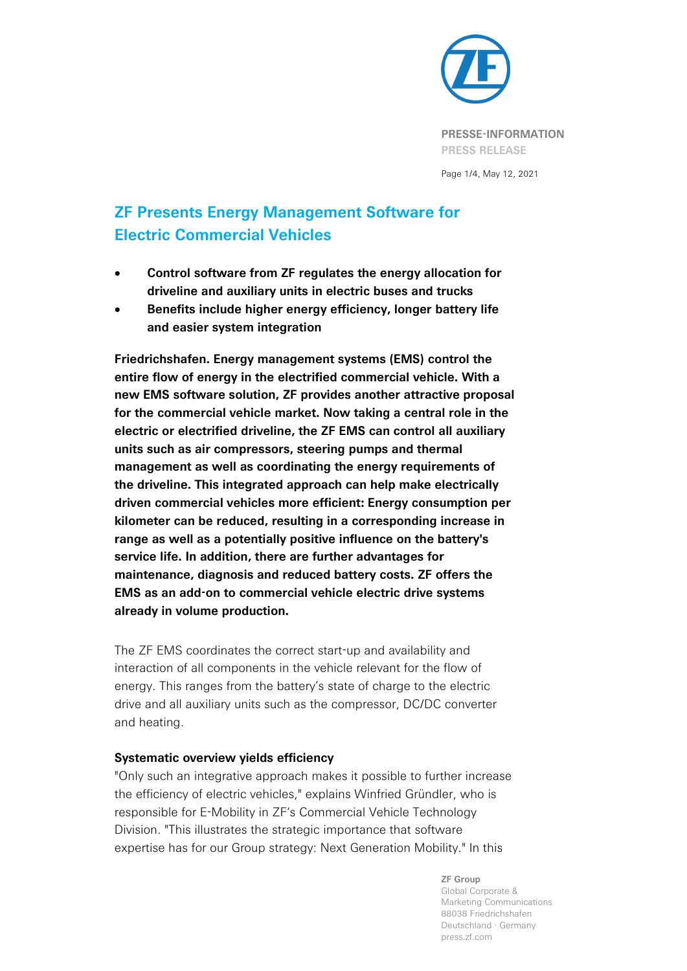

Page 1/4, May 12, 2021

# **ZF Presents Energy Management Software for Electric Commercial Vehicles**

- **Control software from ZF regulates the energy allocation for driveline and auxiliary units in electric buses and trucks**
- **Benefits include higher energy efficiency, longer battery life and easier system integration**

**Friedrichshafen. Energy management systems (EMS) control the entire flow of energy in the electrified commercial vehicle. With a new EMS software solution, ZF provides another attractive proposal for the commercial vehicle market. Now taking a central role in the electric or electrified driveline, the ZF EMS can control all auxiliary units such as air compressors, steering pumps and thermal management as well as coordinating the energy requirements of the driveline. This integrated approach can help make electrically driven commercial vehicles more efficient: Energy consumption per kilometer can be reduced, resulting in a corresponding increase in range as well as a potentially positive influence on the battery's service life. In addition, there are further advantages for maintenance, diagnosis and reduced battery costs. ZF offers the EMS as an add-on to commercial vehicle electric drive systems already in volume production.**

The ZF EMS coordinates the correct start-up and availability and interaction of all components in the vehicle relevant for the flow of energy. This ranges from the battery's state of charge to the electric drive and all auxiliary units such as the compressor, DC/DC converter and heating.

### **Systematic overview yields efficiency**

"Only such an integrative approach makes it possible to further increase the efficiency of electric vehicles," explains Winfried Gründler, who is responsible for E-Mobility in ZF's Commercial Vehicle Technology Division. "This illustrates the strategic importance that software expertise has for our Group strategy: Next Generation Mobility." In this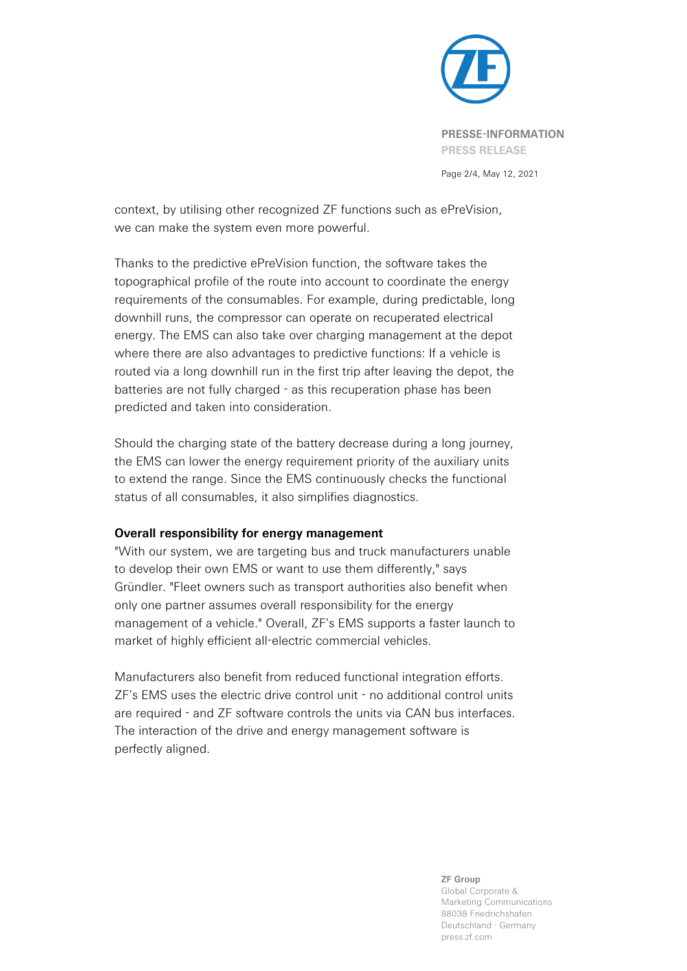

Page 2/4, May 12, 2021

context, by utilising other recognized ZF functions such as ePreVision, we can make the system even more powerful.

Thanks to the predictive ePreVision function, the software takes the topographical profile of the route into account to coordinate the energy requirements of the consumables. For example, during predictable, long downhill runs, the compressor can operate on recuperated electrical energy. The EMS can also take over charging management at the depot where there are also advantages to predictive functions: If a vehicle is routed via a long downhill run in the first trip after leaving the depot, the batteries are not fully charged - as this recuperation phase has been predicted and taken into consideration.

Should the charging state of the battery decrease during a long journey, the EMS can lower the energy requirement priority of the auxiliary units to extend the range. Since the EMS continuously checks the functional status of all consumables, it also simplifies diagnostics.

# **Overall responsibility for energy management**

"With our system, we are targeting bus and truck manufacturers unable to develop their own EMS or want to use them differently," says Gründler. "Fleet owners such as transport authorities also benefit when only one partner assumes overall responsibility for the energy management of a vehicle." Overall, ZF's EMS supports a faster launch to market of highly efficient all-electric commercial vehicles.

Manufacturers also benefit from reduced functional integration efforts. ZF's EMS uses the electric drive control unit - no additional control units are required - and ZF software controls the units via CAN bus interfaces. The interaction of the drive and energy management software is perfectly aligned.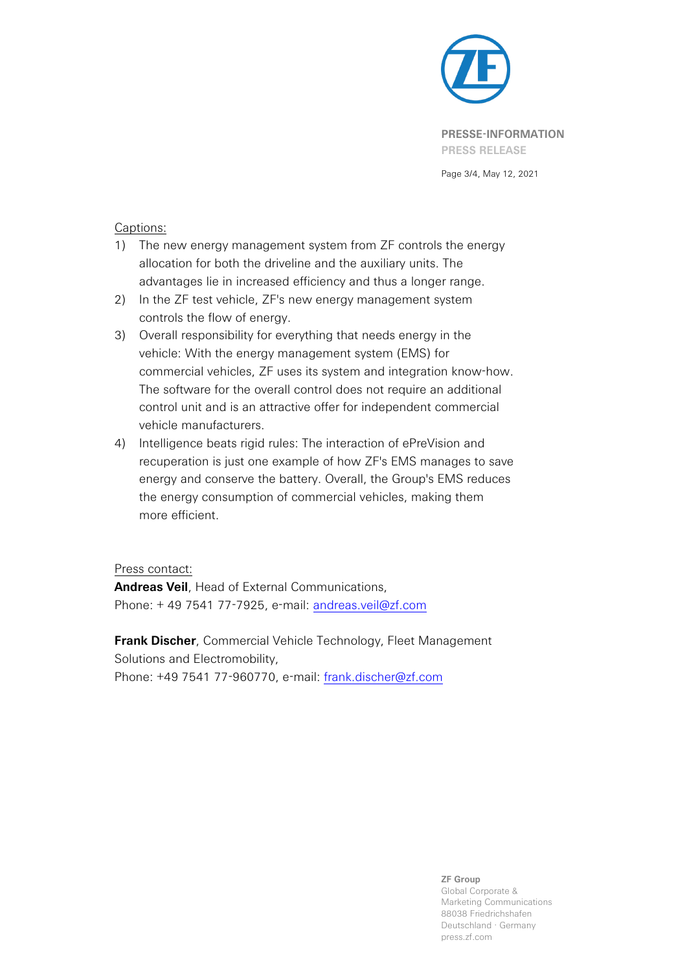

Page 3/4, May 12, 2021

## Captions:

- 1) The new energy management system from ZF controls the energy allocation for both the driveline and the auxiliary units. The advantages lie in increased efficiency and thus a longer range.
- 2) In the ZF test vehicle, ZF's new energy management system controls the flow of energy.
- 3) Overall responsibility for everything that needs energy in the vehicle: With the energy management system (EMS) for commercial vehicles, ZF uses its system and integration know-how. The software for the overall control does not require an additional control unit and is an attractive offer for independent commercial vehicle manufacturers.
- 4) Intelligence beats rigid rules: The interaction of ePreVision and recuperation is just one example of how ZF's EMS manages to save energy and conserve the battery. Overall, the Group's EMS reduces the energy consumption of commercial vehicles, making them more efficient.

### Press contact:

**Andreas Veil**, Head of External Communications, Phone: + 49 7541 77-7925, e-mail: [andreas.veil@zf.com](mailto:andreas.veil@zf.com)

**Frank Discher**, Commercial Vehicle Technology, Fleet Management Solutions and Electromobility, Phone: +49 7541 77-960770, e-mail: [frank.discher@zf.com](mailto:frank.discher@zf.com)